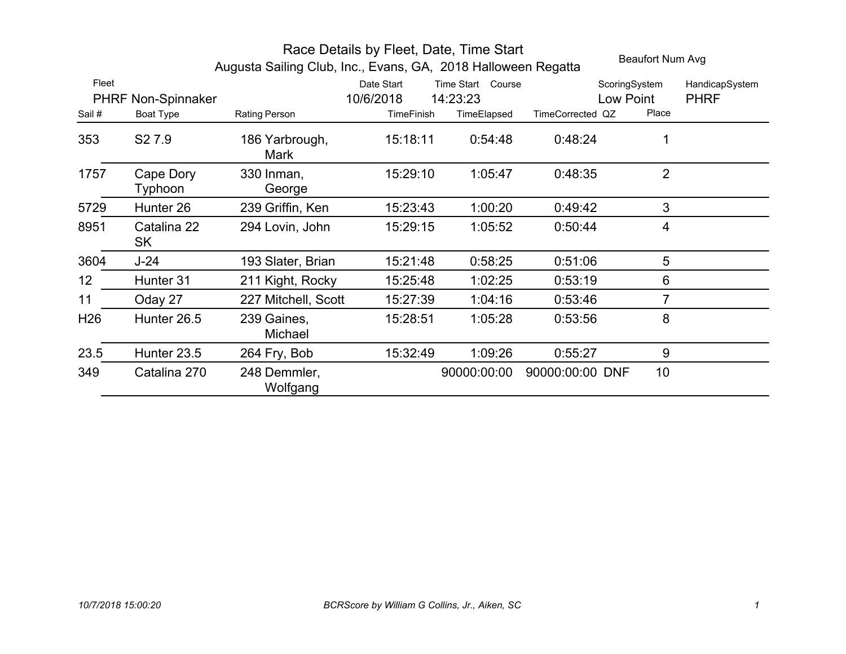|                 | Beaufort Num Avg<br>Augusta Sailing Club, Inc., Evans, GA, 2018 Halloween Regatta |                          |            |                   |                  |                 |                |
|-----------------|-----------------------------------------------------------------------------------|--------------------------|------------|-------------------|------------------|-----------------|----------------|
| Fleet           |                                                                                   |                          | Date Start | Time Start Course |                  | ScoringSystem   | HandicapSystem |
|                 | PHRF Non-Spinnaker                                                                |                          | 10/6/2018  | 14:23:23          |                  | Low Point       | <b>PHRF</b>    |
| Sail #          | Boat Type                                                                         | Rating Person            | TimeFinish | TimeElapsed       | TimeCorrected QZ | Place           |                |
| 353             | S <sub>2</sub> 7.9                                                                | 186 Yarbrough,<br>Mark   | 15:18:11   | 0:54:48           | 0:48:24          | 1               |                |
| 1757            | Cape Dory<br>Typhoon                                                              | 330 Inman,<br>George     | 15:29:10   | 1:05:47           | 0:48:35          | $\overline{2}$  |                |
| 5729            | Hunter <sub>26</sub>                                                              | 239 Griffin, Ken         | 15:23:43   | 1:00:20           | 0:49:42          | 3               |                |
| 8951            | Catalina 22<br>SK                                                                 | 294 Lovin, John          | 15:29:15   | 1:05:52           | 0.50:44          | 4               |                |
| 3604            | J-24                                                                              | 193 Slater, Brian        | 15:21:48   | 0:58:25           | 0:51:06          | 5               |                |
| 12 <sub>2</sub> | Hunter 31                                                                         | 211 Kight, Rocky         | 15:25:48   | 1:02:25           | 0:53:19          | 6               |                |
| 11              | Oday 27                                                                           | 227 Mitchell, Scott      | 15:27:39   | 1:04:16           | 0.53:46          | 7               |                |
| H <sub>26</sub> | Hunter 26.5                                                                       | 239 Gaines,<br>Michael   | 15:28:51   | 1:05:28           | 0:53:56          | 8               |                |
| 23.5            | Hunter 23.5                                                                       | 264 Fry, Bob             | 15:32:49   | 1:09:26           | 0:55:27          | 9               |                |
| 349             | Catalina 270                                                                      | 248 Demmler,<br>Wolfgang |            | 90000:00:00       | 90000:00:00 DNF  | 10 <sup>°</sup> |                |

## Race Details by Fleet, Date, Time Start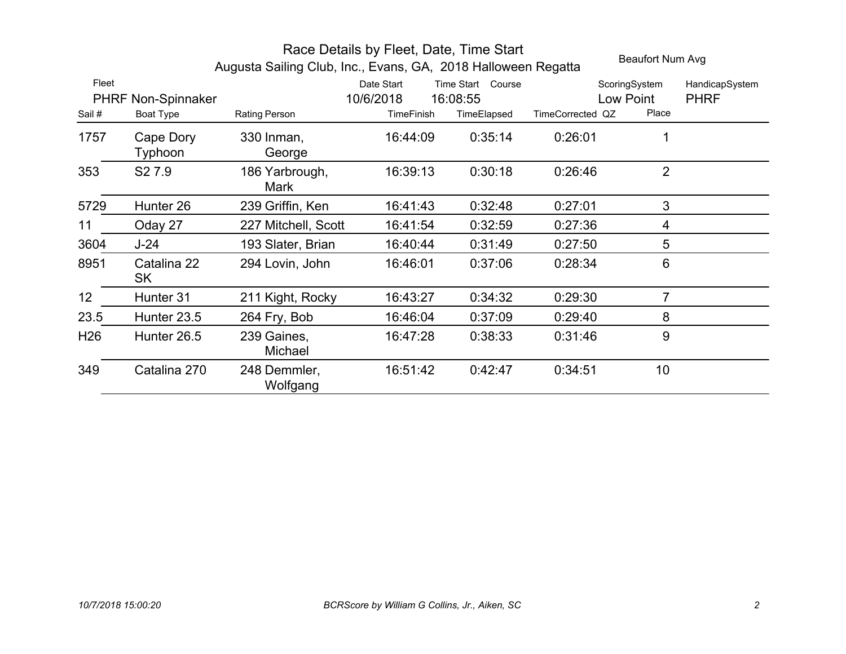|                 | Beaufort Num Avg<br>Augusta Sailing Club, Inc., Evans, GA, 2018 Halloween Regatta |                               |                         |                                         |                  |                            |                               |
|-----------------|-----------------------------------------------------------------------------------|-------------------------------|-------------------------|-----------------------------------------|------------------|----------------------------|-------------------------------|
| Fleet           | PHRF Non-Spinnaker                                                                |                               | Date Start<br>10/6/2018 | <b>Time Start</b><br>Course<br>16:08:55 |                  | ScoringSystem<br>Low Point | HandicapSystem<br><b>PHRF</b> |
| Sail#           | Boat Type                                                                         | Rating Person                 | TimeFinish              | TimeElapsed                             | TimeCorrected QZ | Place                      |                               |
| 1757            | Cape Dory<br>Typhoon                                                              | 330 Inman,<br>George          | 16:44:09                | 0:35:14                                 | 0:26:01          |                            |                               |
| 353             | S <sub>2</sub> 7.9                                                                | 186 Yarbrough,<br><b>Mark</b> | 16:39:13                | 0:30:18                                 | 0:26:46          | $\overline{2}$             |                               |
| 5729            | Hunter 26                                                                         | 239 Griffin, Ken              | 16:41:43                | 0:32:48                                 | 0:27:01          | 3                          |                               |
| 11              | Oday 27                                                                           | 227 Mitchell, Scott           | 16:41:54                | 0:32:59                                 | 0:27:36          | 4                          |                               |
| 3604            | $J-24$                                                                            | 193 Slater, Brian             | 16:40:44                | 0:31:49                                 | 0:27:50          | 5                          |                               |
| 8951            | Catalina 22<br><b>SK</b>                                                          | 294 Lovin, John               | 16:46:01                | 0:37:06                                 | 0:28:34          | $6\phantom{1}$             |                               |
| 12              | Hunter 31                                                                         | 211 Kight, Rocky              | 16:43:27                | 0:34:32                                 | 0:29:30          | 7                          |                               |
| 23.5            | Hunter 23.5                                                                       | 264 Fry, Bob                  | 16:46:04                | 0:37:09                                 | 0:29:40          | 8                          |                               |
| H <sub>26</sub> | Hunter 26.5                                                                       | 239 Gaines,<br>Michael        | 16:47:28                | 0:38:33                                 | 0:31:46          | 9                          |                               |
| 349             | Catalina 270                                                                      | 248 Demmler,<br>Wolfgang      | 16:51:42                | 0:42:47                                 | 0:34:51          | 10                         |                               |

## Race Details by Fleet, Date, Time Start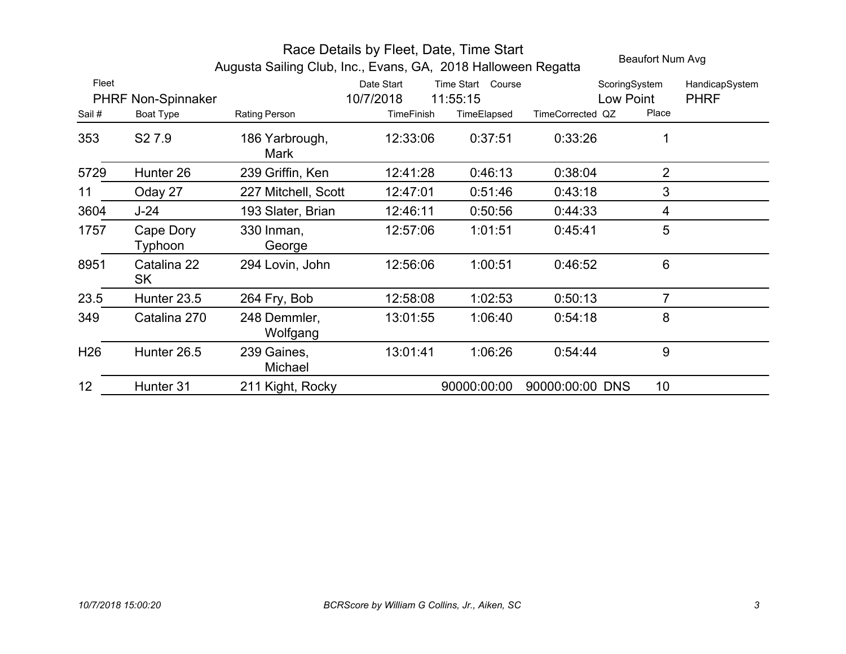|                 | Beaufort Num Avg<br>Augusta Sailing Club, Inc., Evans, GA, 2018 Halloween Regatta |                          |                         |                               |                  |                            |                               |
|-----------------|-----------------------------------------------------------------------------------|--------------------------|-------------------------|-------------------------------|------------------|----------------------------|-------------------------------|
| Fleet           | PHRF Non-Spinnaker                                                                |                          | Date Start<br>10/7/2018 | Time Start Course<br>11:55:15 |                  | ScoringSystem<br>Low Point | HandicapSystem<br><b>PHRF</b> |
| Sail #          | Boat Type                                                                         | Rating Person            | <b>TimeFinish</b>       | TimeElapsed                   | TimeCorrected QZ | Place                      |                               |
| 353             | S <sub>2</sub> 7.9                                                                | 186 Yarbrough,<br>Mark   | 12:33:06                | 0:37:51                       | 0:33:26          | 1                          |                               |
| 5729            | Hunter 26                                                                         | 239 Griffin, Ken         | 12:41:28                | 0:46:13                       | 0:38:04          | $\overline{2}$             |                               |
| 11              | Oday 27                                                                           | 227 Mitchell, Scott      | 12:47:01                | 0:51:46                       | 0:43:18          | 3                          |                               |
| 3604            | $J-24$                                                                            | 193 Slater, Brian        | 12:46:11                | 0:50:56                       | 0:44:33          | 4                          |                               |
| 1757            | Cape Dory<br>Typhoon                                                              | 330 Inman,<br>George     | 12:57:06                | 1:01:51                       | 0.45.41          | 5                          |                               |
| 8951            | Catalina 22<br>SK                                                                 | 294 Lovin, John          | 12:56:06                | 1:00:51                       | 0:46:52          | 6                          |                               |
| 23.5            | Hunter 23.5                                                                       | 264 Fry, Bob             | 12:58:08                | 1:02:53                       | 0:50:13          | 7                          |                               |
| 349             | Catalina 270                                                                      | 248 Demmler,<br>Wolfgang | 13:01:55                | 1:06:40                       | 0.54.18          | 8                          |                               |
| H <sub>26</sub> | Hunter 26.5                                                                       | 239 Gaines,<br>Michael   | 13:01:41                | 1:06:26                       | 0.54.44          | 9                          |                               |
| 12              | Hunter 31                                                                         | 211 Kight, Rocky         |                         | 90000:00:00                   | 90000:00:00 DNS  | 10 <sup>°</sup>            |                               |

## Race Details by Fleet, Date, Time Start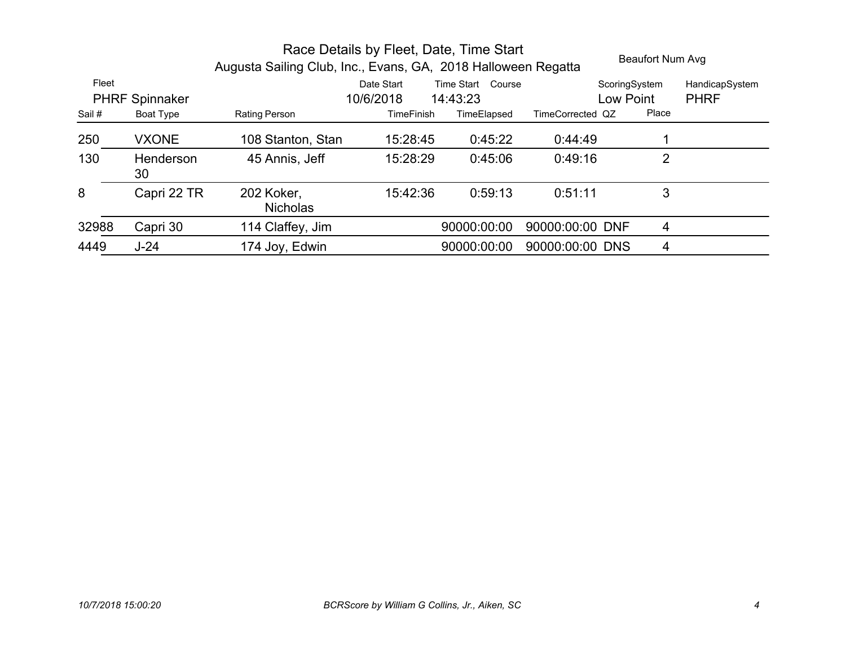| Race Details by Fleet, Date, Time Start<br>Augusta Sailing Club, Inc., Evans, GA, 2018 Halloween Regatta |                  |                               |                         |                               |                  |                            | Beaufort Num Avg              |  |
|----------------------------------------------------------------------------------------------------------|------------------|-------------------------------|-------------------------|-------------------------------|------------------|----------------------------|-------------------------------|--|
| Fleet<br><b>PHRF Spinnaker</b>                                                                           |                  |                               | Date Start<br>10/6/2018 | Time Start Course<br>14:43:23 |                  | ScoringSystem<br>Low Point | HandicapSystem<br><b>PHRF</b> |  |
| Sail #                                                                                                   | <b>Boat Type</b> | Rating Person                 | <b>TimeFinish</b>       | TimeElapsed                   | TimeCorrected QZ | Place                      |                               |  |
| 250                                                                                                      | <b>VXONE</b>     | 108 Stanton, Stan             | 15:28:45                | 0:45:22                       | 0.44.49          |                            |                               |  |
| 130                                                                                                      | Henderson<br>30  | 45 Annis, Jeff                | 15:28:29                | 0:45:06                       | 0:49:16          | $\overline{2}$             |                               |  |
| 8                                                                                                        | Capri 22 TR      | 202 Koker,<br><b>Nicholas</b> | 15:42:36                | 0:59:13                       | 0:51:11          | 3                          |                               |  |
| 32988                                                                                                    | Capri 30         | 114 Claffey, Jim              |                         | 90000:00:00                   | 90000:00:00 DNF  | 4                          |                               |  |
| 4449                                                                                                     | $J-24$           | 174 Joy, Edwin                |                         | 90000:00:00                   | 90000:00:00 DNS  | 4                          |                               |  |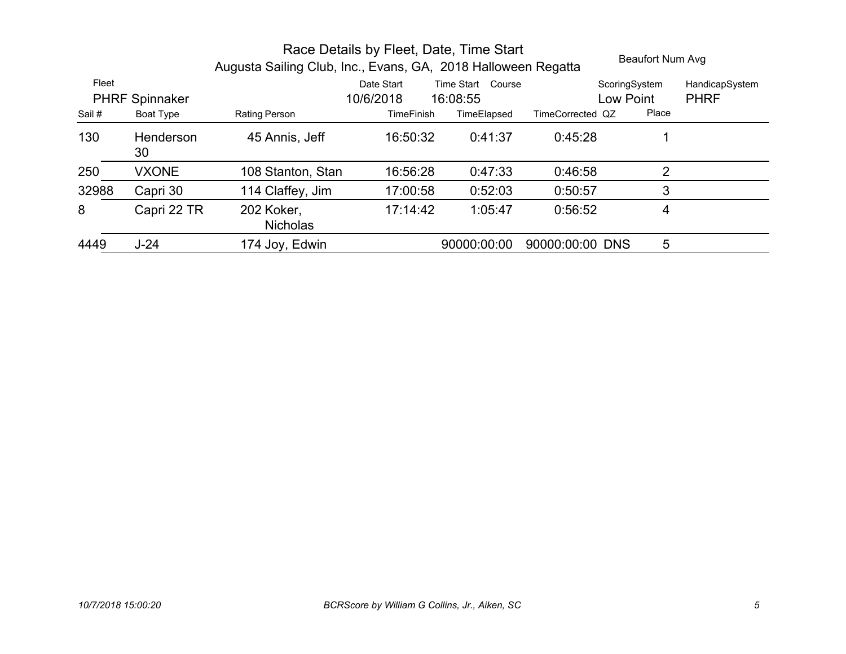|                                |                 | Augusta Sailing Club, Inc., Evans, GA, 2018 Halloween Regatta | $\frac{1}{1}$ and $\frac{1}{2}$ betaing by $\frac{1}{2}$ . Tool, batter, then $\frac{1}{2}$ |             |                  | <b>Beaufort Num Avg</b> |                               |
|--------------------------------|-----------------|---------------------------------------------------------------|---------------------------------------------------------------------------------------------|-------------|------------------|-------------------------|-------------------------------|
| Fleet<br><b>PHRF Spinnaker</b> |                 |                                                               | Time Start Course<br>Date Start<br>10/6/2018<br>16:08:55                                    |             |                  |                         | HandicapSystem<br><b>PHRF</b> |
| Sail#                          | Boat Type       | Rating Person                                                 | <b>TimeFinish</b>                                                                           | TimeElapsed | TimeCorrected QZ | Place                   |                               |
| 130                            | Henderson<br>30 | 45 Annis, Jeff                                                | 16:50:32                                                                                    | 0:41:37     | 0:45:28          |                         |                               |
| 250                            | <b>VXONE</b>    | 108 Stanton, Stan                                             | 16:56:28                                                                                    | 0:47:33     | 0:46:58          | 2                       |                               |
| 32988                          | Capri 30        | 114 Claffey, Jim                                              | 17:00:58                                                                                    | 0:52:03     | 0:50:57          | 3                       |                               |
| 8                              | Capri 22 TR     | 202 Koker,<br><b>Nicholas</b>                                 | 17:14:42                                                                                    | 1:05:47     | 0:56:52          | 4                       |                               |
| 4449                           | $J-24$          | 174 Joy, Edwin                                                |                                                                                             | 90000:00:00 | 90000:00:00 DNS  | 5                       |                               |